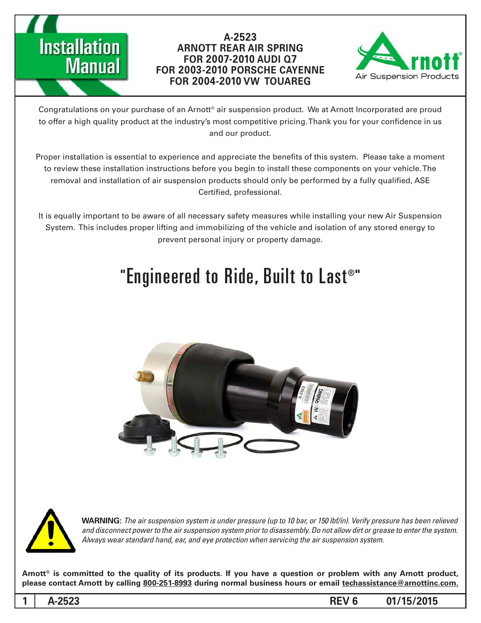



Congratulations on your purchase of an Arnott® air suspension product. We at Arnott Incorporated are proud to offer a high quality product at the industry's most competitive pricing. Thank you for your confidence in us and our product.

Proper installation is essential to experience and appreciate the benefits of this system. Please take a moment to review these installation instructions before you begin to install these components on your vehicle. The removal and installation of air suspension products should only be performed by a fully qualified, ASE Certified, professional.

It is equally important to be aware of all necessary safety measures while installing your new Air Suspension System. This includes proper lifting and immobilizing of the vehicle and isolation of any stored energy to prevent personal injury or property damage.

# "Engineered to Ride, Built to Last®"





*WARNING: The air suspension system is under pressure (up to 10 bar, or 150 lbf/in). Verify pressure has been relieved* and disconnect power to the air suspension system prior to disassembly. Do not allow dirt or grease to enter the system. Always wear standard hand, ear, and eye protection when servicing the air suspension system.

Arnott<sup>®</sup> is committed to the quality of its products. If you have a question or problem with any Arnott product, please contact Arnott by calling 800-251-8993 during normal business hours or email techassistance@arnottinc.com.

**1**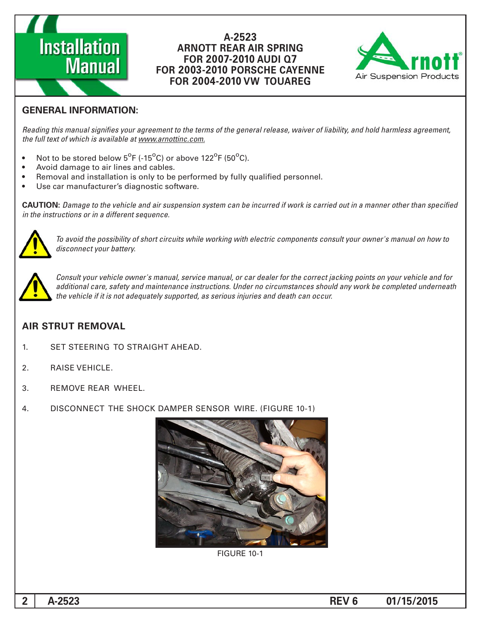# **Installation Manual**

#### A-2523 **ARNOTT REAR AIR SPRING 7Q AUDI 2007-2010 FOR FOR 2003-2010 PORSCHE CAYENNE FOR 2004-2010 VW TOUAREG**



# **GENERAL INFORMATION:**

Reading this manual signifies your agreement to the terms of the general release, waiver of liability, and hold harmless agreement, the full text of which is available at www.arnottinc.com.

- Not to be stored below  $5^{\circ}$ F (-15 $^{\circ}$ C) or above 122 $^{\circ}$ F (50 $^{\circ}$ C).
- Avoid damage to air lines and cables.
- Removal and installation is only to be performed by fully qualified personnel.
- Use car manufacturer's diagnostic software.

**CAUTION:** Damage to the vehicle and air suspension system can be incurred if work is carried out in a manner other than specified *in the instructions or in a different sequence.* 



 *to how on manual s'owner your consult components electric with working while circuits short of possibility the avoid To* disconnect your battery.



*Consult your vehicle owner's manual, service manual, or car dealer for the correct jacking points on your vehicle and for* additional care, safety and maintenance instructions. Under no circumstances should any work be completed underneath the vehicle if it is not adequately supported, as serious injuries and death can occur.

## **AIR STRUT REMOVAL**

- 1. SET STEERING TO STRAIGHT AHEAD.
- 2. RAISE VEHICLE.
- 3. REMOVE REAR WHEEL.
- 4. DISCONNECT THE SHOCK DAMPER SENSOR WIRE. (FIGURE 10-1)



**FIGURE 10-1**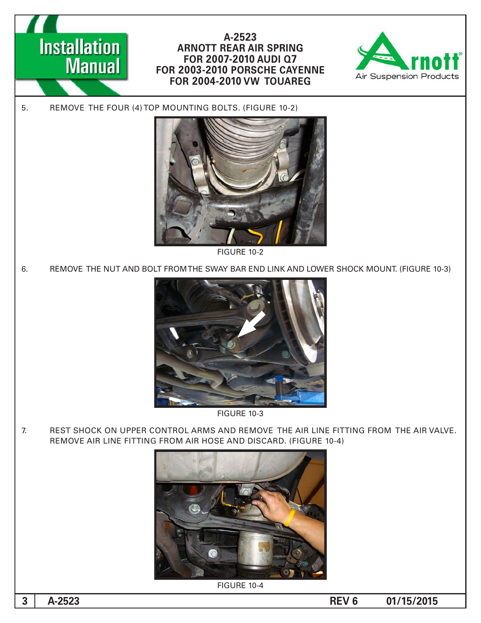



5. REMOVE THE FOUR (4) TOP MOUNTING BOLTS. (FIGURE 10-2)



**FIGURE 10-2** 

6. FIGURE THE NUT AND BOLT FROM THE SWAY BAR END LINK AND LOWER SHOCK MOUNT. (FIGURE 10-3)



**FIGURE 10-3** 

7. REST SHOCK ON UPPER CONTROL ARMS AND REMOVE THE AIR LINE FITTING FROM THE AIR VALVE. REMOVE AIR LINE FITTING FROM AIR HOSE AND DISCARD. (FIGURE 10-4)



**FIGURE 10-4**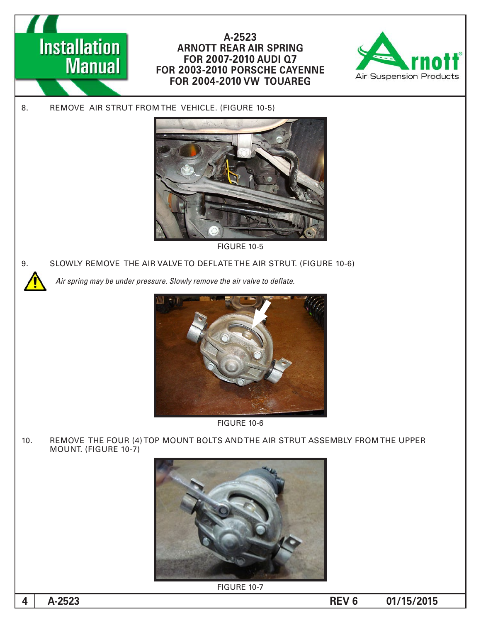



8. REMOVE AIR STRUT FROM THE VEHICLE. (FIGURE 10-5)



**FIGURE 10-5** 

9. SLOWLY REMOVE THE AIR VALVE TO DEFLATE THE AIR STRUT. (FIGURE 10-6)

Air spring may be under pressure. Slowly remove the air valve to deflate.





10. REMOVE THE FOUR (4) TOP MOUNT BOLTS AND THE AIR STRUT ASSEMBLY FROM THE UPPER MOUNT. (FIGURE 10-7)



**FIGURE 10-7** 

**4**

**A-2523 REV 6 01/15/2015**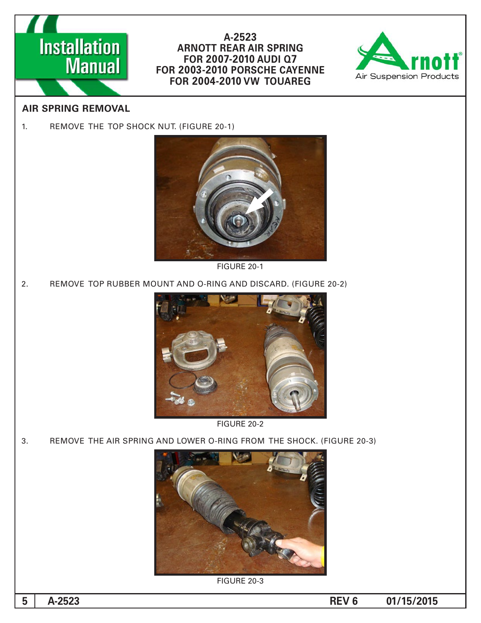



# **AIR SPRING REMOVAL**

1. REMOVE THE TOP SHOCK NUT. (FIGURE 20-1)



FIGURE 20-1

2. REMOVE TOP RUBBER MOUNT AND O-RING AND DISCARD. (FIGURE 20-2)



FIGURE 20-2

3. REMOVE THE AIR SPRING AND LOWER O-RING FROM THE SHOCK. (FIGURE 20-3)



**FIGURE 20-3** 

**5**

**01/15/2015 6 REV 6 01/15/2015**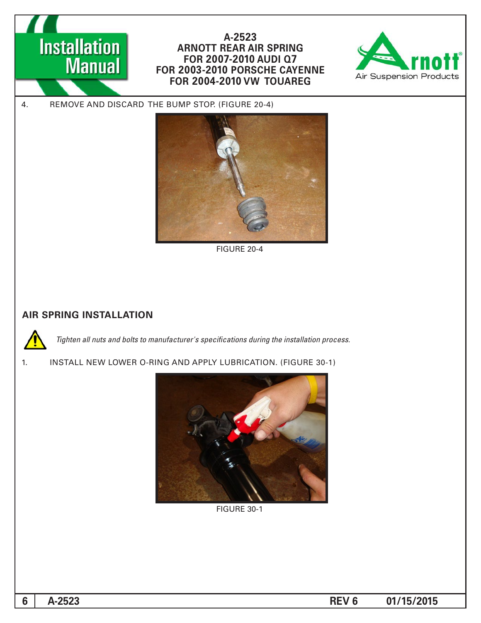



4. REMOVE AND DISCARD THE BUMP STOP. (FIGURE 20-4)



FIGURE 20-4

### **AIR SPRING INSTALLATION**



*Tighten all nuts and bolts to manufacturer's specifications during the installation process.* 



1. INSTALL NEW LOWER O-RING AND APPLY LUBRICATION. (FIGURE 30-1)



**FIGURE 30-1** 

**A-2523 REV 6 01/15/2015**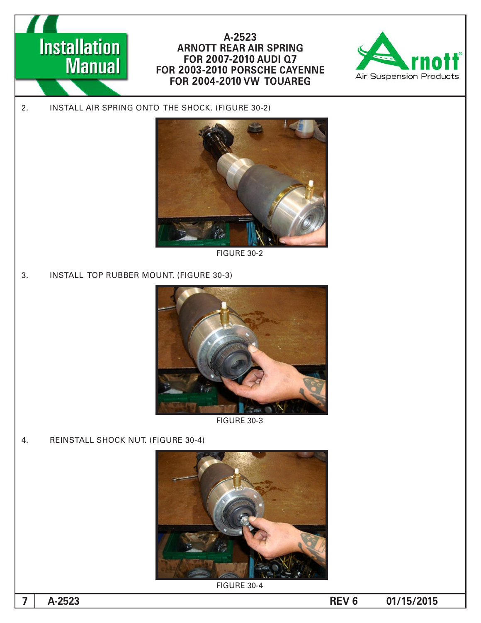



2. INSTALL AIR SPRING ONTO THE SHOCK. (FIGURE 30-2)



**FIGURE 30-2** 

3. INSTALL TOP RUBBER MOUNT. (FIGURE 30-3)



**FIGURE 30-3** 

4. REINSTALL SHOCK NUT. (FIGURE 30-4)



FIGURE 30-4

**7**

**01/15/2015 6 REV 6 01/15/2015**